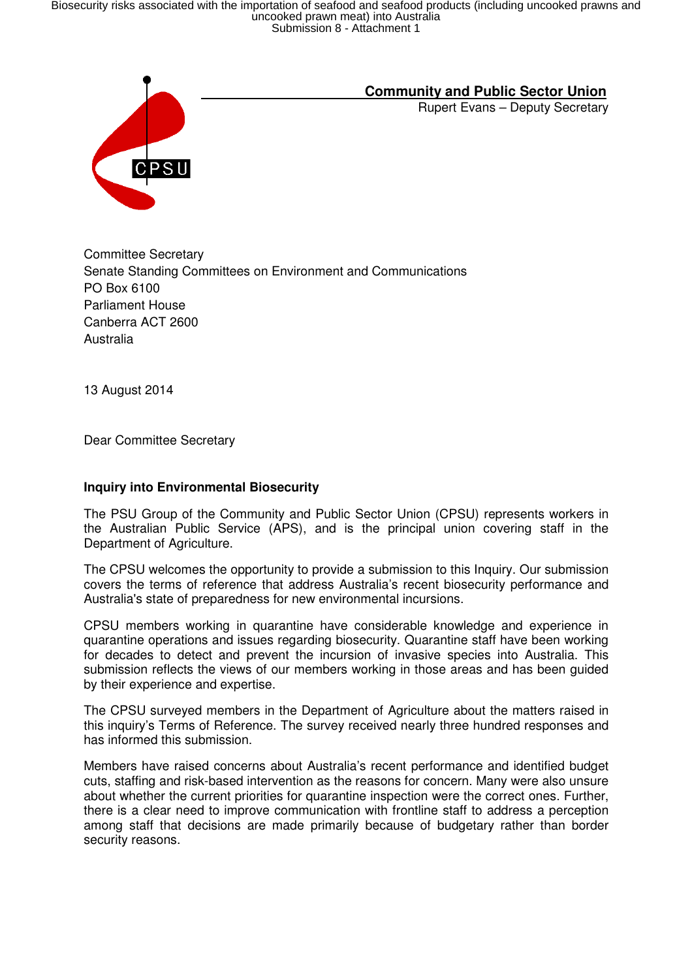Biosecurity risks associated with the importation of seafood and seafood products (including uncooked prawns and<br>uncooked prawn meat) into Australia<br>Submission 8 - Attachment 1



# **Community and Public Sector Union**

Rupert Evans – Deputy Secretary

Committee Secretary Senate Standing Committees on Environment and Communications PO Box 6100 Parliament House Canberra ACT 2600 Australia

13 August 2014

Dear Committee Secretary

## **Inquiry into Environmental Biosecurity**

The PSU Group of the Community and Public Sector Union (CPSU) represents workers in the Australian Public Service (APS), and is the principal union covering staff in the Department of Agriculture.

The CPSU welcomes the opportunity to provide a submission to this Inquiry. Our submission covers the terms of reference that address Australia's recent biosecurity performance and Australia's state of preparedness for new environmental incursions.

CPSU members working in quarantine have considerable knowledge and experience in quarantine operations and issues regarding biosecurity. Quarantine staff have been working for decades to detect and prevent the incursion of invasive species into Australia. This submission reflects the views of our members working in those areas and has been guided by their experience and expertise.

The CPSU surveyed members in the Department of Agriculture about the matters raised in this inquiry's Terms of Reference. The survey received nearly three hundred responses and has informed this submission.

Members have raised concerns about Australia's recent performance and identified budget cuts, staffing and risk-based intervention as the reasons for concern. Many were also unsure about whether the current priorities for quarantine inspection were the correct ones. Further, there is a clear need to improve communication with frontline staff to address a perception among staff that decisions are made primarily because of budgetary rather than border security reasons.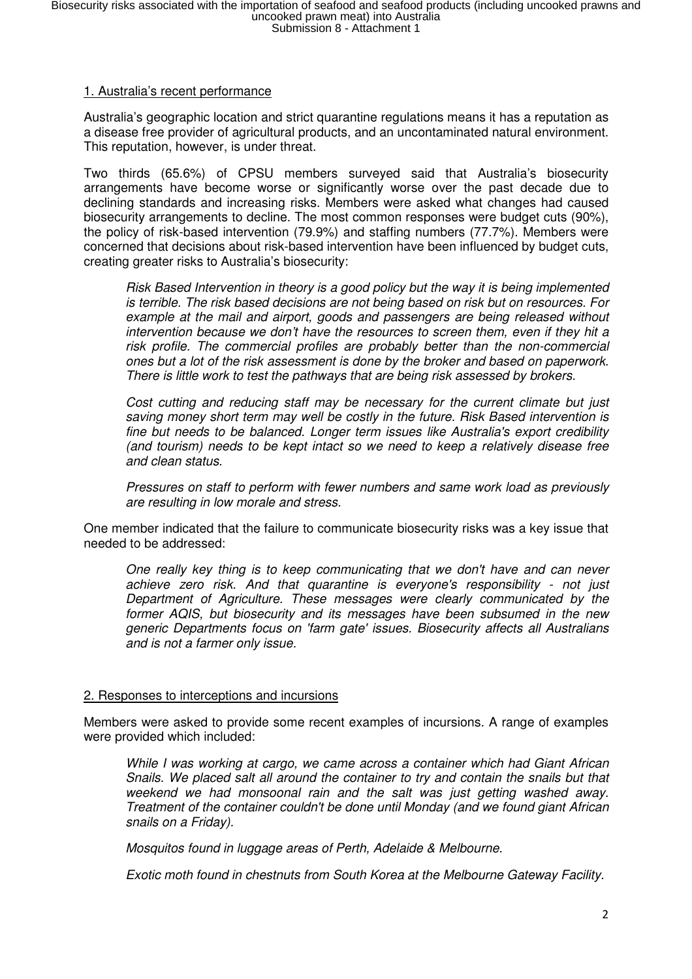## 1. Australia's recent performance

Australia's geographic location and strict quarantine regulations means it has a reputation as a disease free provider of agricultural products, and an uncontaminated natural environment. This reputation, however, is under threat.

Two thirds (65.6%) of CPSU members surveyed said that Australia's biosecurity arrangements have become worse or significantly worse over the past decade due to declining standards and increasing risks. Members were asked what changes had caused biosecurity arrangements to decline. The most common responses were budget cuts (90%), the policy of risk-based intervention (79.9%) and staffing numbers (77.7%). Members were concerned that decisions about risk-based intervention have been influenced by budget cuts, creating greater risks to Australia's biosecurity:

Risk Based Intervention in theory is a good policy but the way it is being implemented is terrible. The risk based decisions are not being based on risk but on resources. For example at the mail and airport, goods and passengers are being released without intervention because we don't have the resources to screen them, even if they hit a risk profile. The commercial profiles are probably better than the non-commercial ones but a lot of the risk assessment is done by the broker and based on paperwork. There is little work to test the pathways that are being risk assessed by brokers.

Cost cutting and reducing staff may be necessary for the current climate but just saving money short term may well be costly in the future. Risk Based intervention is fine but needs to be balanced. Longer term issues like Australia's export credibility (and tourism) needs to be kept intact so we need to keep a relatively disease free and clean status.

Pressures on staff to perform with fewer numbers and same work load as previously are resulting in low morale and stress.

One member indicated that the failure to communicate biosecurity risks was a key issue that needed to be addressed:

One really key thing is to keep communicating that we don't have and can never achieve zero risk. And that quarantine is everyone's responsibility - not just Department of Agriculture. These messages were clearly communicated by the former AQIS, but biosecurity and its messages have been subsumed in the new generic Departments focus on 'farm gate' issues. Biosecurity affects all Australians and is not a farmer only issue.

#### 2. Responses to interceptions and incursions

Members were asked to provide some recent examples of incursions. A range of examples were provided which included:

While I was working at cargo, we came across a container which had Giant African Snails. We placed salt all around the container to try and contain the snails but that weekend we had monsoonal rain and the salt was just getting washed away. Treatment of the container couldn't be done until Monday (and we found giant African snails on a Friday).

Mosquitos found in luggage areas of Perth, Adelaide & Melbourne.

Exotic moth found in chestnuts from South Korea at the Melbourne Gateway Facility.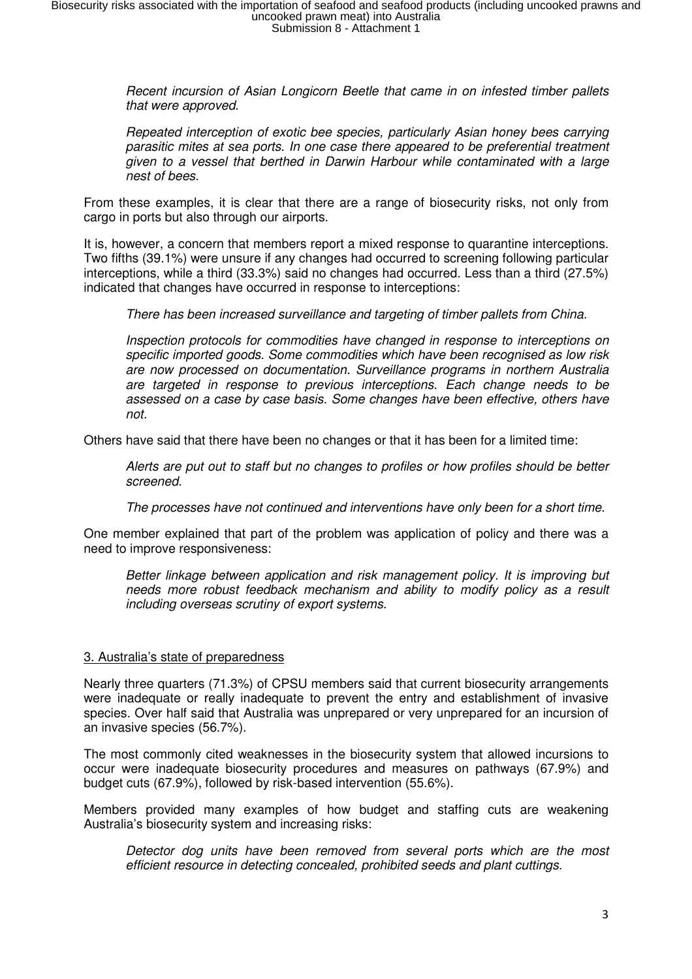Recent incursion of Asian Longicorn Beetle that came in on infested timber pallets that were approved.

Repeated interception of exotic bee species, particularly Asian honey bees carrying parasitic mites at sea ports. In one case there appeared to be preferential treatment given to a vessel that berthed in Darwin Harbour while contaminated with a large nest of bees.

From these examples, it is clear that there are a range of biosecurity risks, not only from cargo in ports but also through our airports.

It is, however, a concern that members report a mixed response to quarantine interceptions. Two fifths (39.1%) were unsure if any changes had occurred to screening following particular interceptions, while a third (33.3%) said no changes had occurred. Less than a third (27.5%) indicated that changes have occurred in response to interceptions:

There has been increased surveillance and targeting of timber pallets from China.

Inspection protocols for commodities have changed in response to interceptions on specific imported goods. Some commodities which have been recognised as low risk are now processed on documentation. Surveillance programs in northern Australia are targeted in response to previous interceptions. Each change needs to be assessed on a case by case basis. Some changes have been effective, others have not.

Others have said that there have been no changes or that it has been for a limited time:

Alerts are put out to staff but no changes to profiles or how profiles should be better screened.

The processes have not continued and interventions have only been for a short time.

One member explained that part of the problem was application of policy and there was a need to improve responsiveness:

Better linkage between application and risk management policy. It is improving but needs more robust feedback mechanism and ability to modify policy as a result including overseas scrutiny of export systems.

### 3. Australia's state of preparedness

Nearly three quarters (71.3%) of CPSU members said that current biosecurity arrangements were inadequate or really inadequate to prevent the entry and establishment of invasive species. Over half said that Australia was unprepared or very unprepared for an incursion of an invasive species (56.7%).

The most commonly cited weaknesses in the biosecurity system that allowed incursions to occur were inadequate biosecurity procedures and measures on pathways (67.9%) and budget cuts (67.9%), followed by risk-based intervention (55.6%).

Members provided many examples of how budget and staffing cuts are weakening Australia's biosecurity system and increasing risks:

Detector dog units have been removed from several ports which are the most efficient resource in detecting concealed, prohibited seeds and plant cuttings.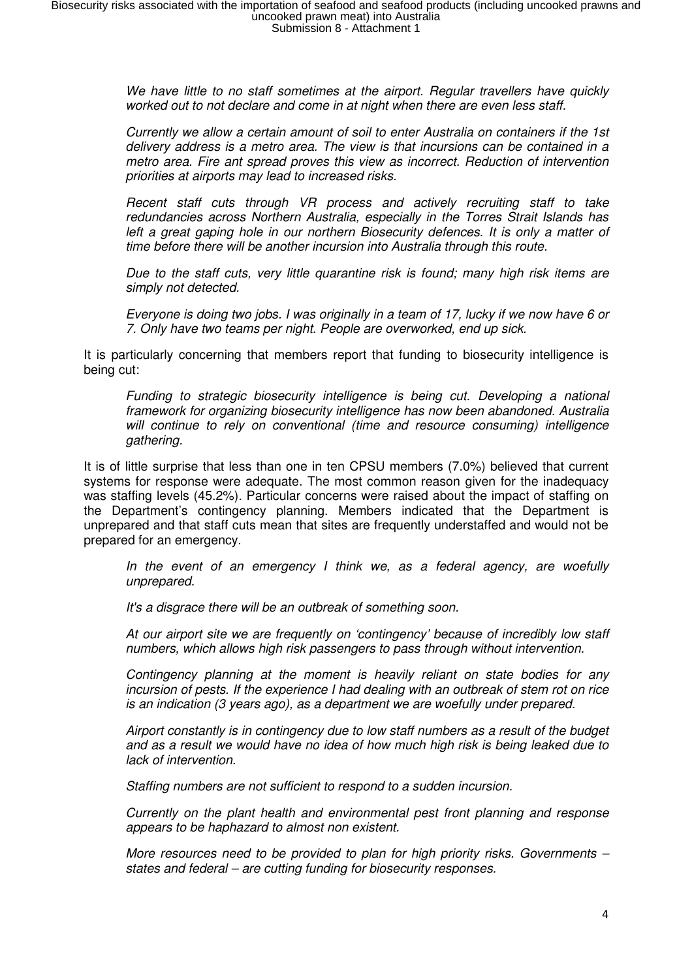We have little to no staff sometimes at the airport. Regular travellers have quickly worked out to not declare and come in at night when there are even less staff.

Currently we allow a certain amount of soil to enter Australia on containers if the 1st delivery address is a metro area. The view is that incursions can be contained in a metro area. Fire ant spread proves this view as incorrect. Reduction of intervention priorities at airports may lead to increased risks.

Recent staff cuts through VR process and actively recruiting staff to take redundancies across Northern Australia, especially in the Torres Strait Islands has left a great gaping hole in our northern Biosecurity defences. It is only a matter of time before there will be another incursion into Australia through this route.

Due to the staff cuts, very little quarantine risk is found; many high risk items are simply not detected.

Everyone is doing two jobs. I was originally in a team of 17, lucky if we now have 6 or 7. Only have two teams per night. People are overworked, end up sick.

It is particularly concerning that members report that funding to biosecurity intelligence is being cut:

Funding to strategic biosecurity intelligence is being cut. Developing a national framework for organizing biosecurity intelligence has now been abandoned. Australia will continue to rely on conventional (time and resource consuming) intelligence gathering.

It is of little surprise that less than one in ten CPSU members (7.0%) believed that current systems for response were adequate. The most common reason given for the inadequacy was staffing levels (45.2%). Particular concerns were raised about the impact of staffing on the Department's contingency planning. Members indicated that the Department is unprepared and that staff cuts mean that sites are frequently understaffed and would not be prepared for an emergency.

In the event of an emergency I think we, as a federal agency, are woefully unprepared.

It's a disgrace there will be an outbreak of something soon.

At our airport site we are frequently on 'contingency' because of incredibly low staff numbers, which allows high risk passengers to pass through without intervention.

Contingency planning at the moment is heavily reliant on state bodies for any incursion of pests. If the experience I had dealing with an outbreak of stem rot on rice is an indication (3 years ago), as a department we are woefully under prepared.

Airport constantly is in contingency due to low staff numbers as a result of the budget and as a result we would have no idea of how much high risk is being leaked due to lack of intervention.

Staffing numbers are not sufficient to respond to a sudden incursion.

Currently on the plant health and environmental pest front planning and response appears to be haphazard to almost non existent.

More resources need to be provided to plan for high priority risks. Governments – states and federal – are cutting funding for biosecurity responses.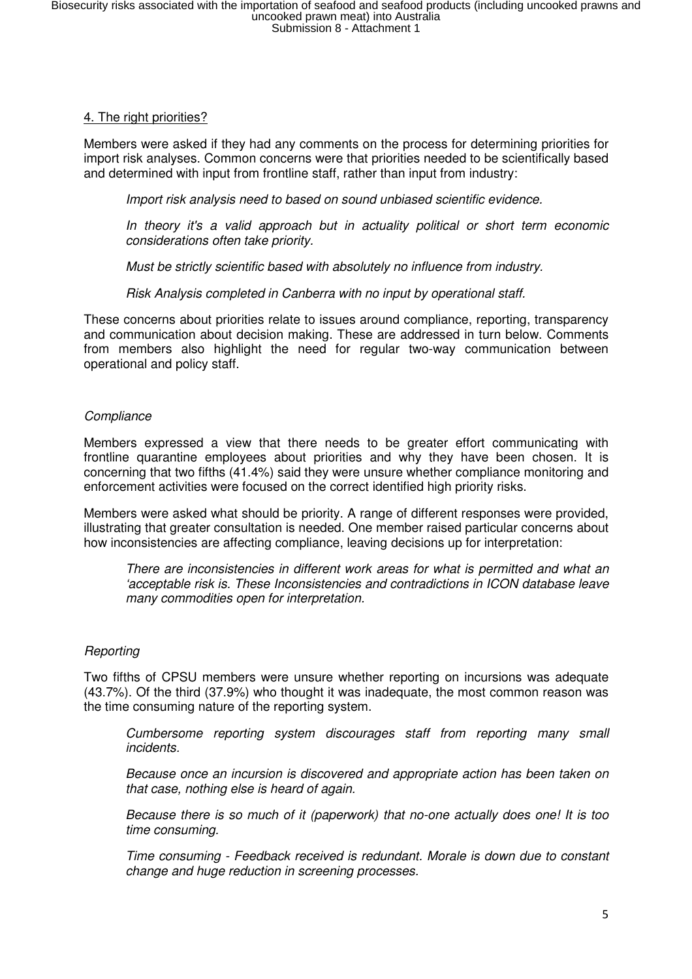## 4. The right priorities?

Members were asked if they had any comments on the process for determining priorities for import risk analyses. Common concerns were that priorities needed to be scientifically based and determined with input from frontline staff, rather than input from industry:

Import risk analysis need to based on sound unbiased scientific evidence.

In theory it's a valid approach but in actuality political or short term economic considerations often take priority.

Must be strictly scientific based with absolutely no influence from industry.

Risk Analysis completed in Canberra with no input by operational staff.

These concerns about priorities relate to issues around compliance, reporting, transparency and communication about decision making. These are addressed in turn below. Comments from members also highlight the need for regular two-way communication between operational and policy staff.

## **Compliance**

Members expressed a view that there needs to be greater effort communicating with frontline quarantine employees about priorities and why they have been chosen. It is concerning that two fifths (41.4%) said they were unsure whether compliance monitoring and enforcement activities were focused on the correct identified high priority risks.

Members were asked what should be priority. A range of different responses were provided, illustrating that greater consultation is needed. One member raised particular concerns about how inconsistencies are affecting compliance, leaving decisions up for interpretation:

There are inconsistencies in different work areas for what is permitted and what an 'acceptable risk is. These Inconsistencies and contradictions in ICON database leave many commodities open for interpretation.

# **Reporting**

Two fifths of CPSU members were unsure whether reporting on incursions was adequate (43.7%). Of the third (37.9%) who thought it was inadequate, the most common reason was the time consuming nature of the reporting system.

Cumbersome reporting system discourages staff from reporting many small incidents.

Because once an incursion is discovered and appropriate action has been taken on that case, nothing else is heard of again.

Because there is so much of it (paperwork) that no-one actually does one! It is too time consuming.

Time consuming - Feedback received is redundant. Morale is down due to constant change and huge reduction in screening processes.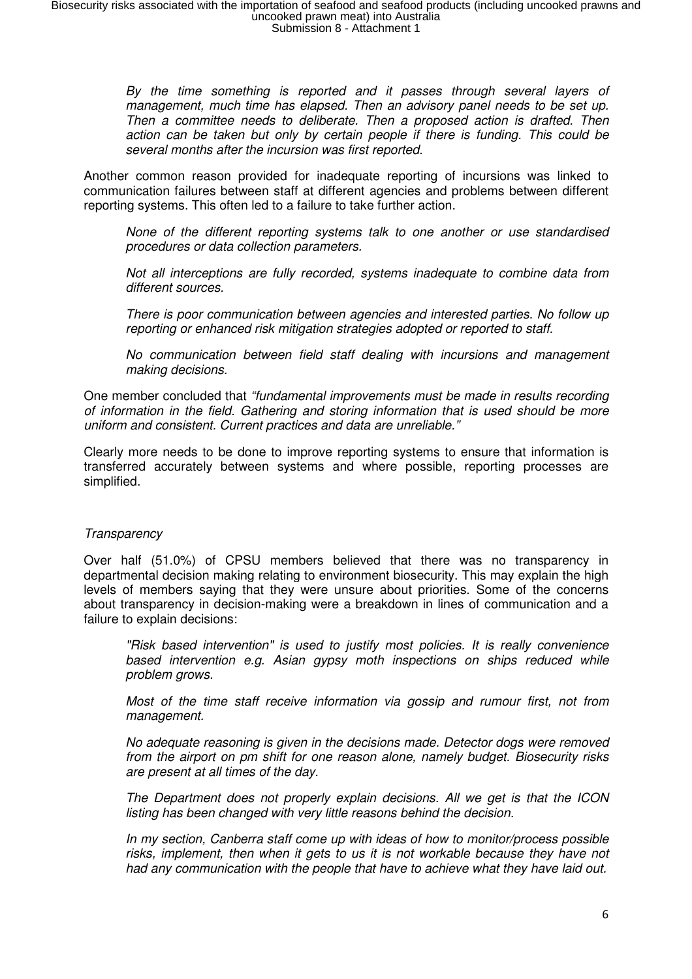By the time something is reported and it passes through several layers of management, much time has elapsed. Then an advisory panel needs to be set up. Then a committee needs to deliberate. Then a proposed action is drafted. Then action can be taken but only by certain people if there is funding. This could be several months after the incursion was first reported.

Another common reason provided for inadequate reporting of incursions was linked to communication failures between staff at different agencies and problems between different reporting systems. This often led to a failure to take further action.

None of the different reporting systems talk to one another or use standardised procedures or data collection parameters.

Not all interceptions are fully recorded, systems inadequate to combine data from different sources.

There is poor communication between agencies and interested parties. No follow up reporting or enhanced risk mitigation strategies adopted or reported to staff.

No communication between field staff dealing with incursions and management making decisions.

One member concluded that "fundamental improvements must be made in results recording of information in the field. Gathering and storing information that is used should be more uniform and consistent. Current practices and data are unreliable."

Clearly more needs to be done to improve reporting systems to ensure that information is transferred accurately between systems and where possible, reporting processes are simplified.

## **Transparency**

Over half (51.0%) of CPSU members believed that there was no transparency in departmental decision making relating to environment biosecurity. This may explain the high levels of members saying that they were unsure about priorities. Some of the concerns about transparency in decision-making were a breakdown in lines of communication and a failure to explain decisions:

"Risk based intervention" is used to justify most policies. It is really convenience based intervention e.g. Asian gypsy moth inspections on ships reduced while problem grows.

Most of the time staff receive information via gossip and rumour first, not from management.

No adequate reasoning is given in the decisions made. Detector dogs were removed from the airport on pm shift for one reason alone, namely budget. Biosecurity risks are present at all times of the day.

The Department does not properly explain decisions. All we get is that the ICON listing has been changed with very little reasons behind the decision.

In my section, Canberra staff come up with ideas of how to monitor/process possible risks, implement, then when it gets to us it is not workable because they have not had any communication with the people that have to achieve what they have laid out.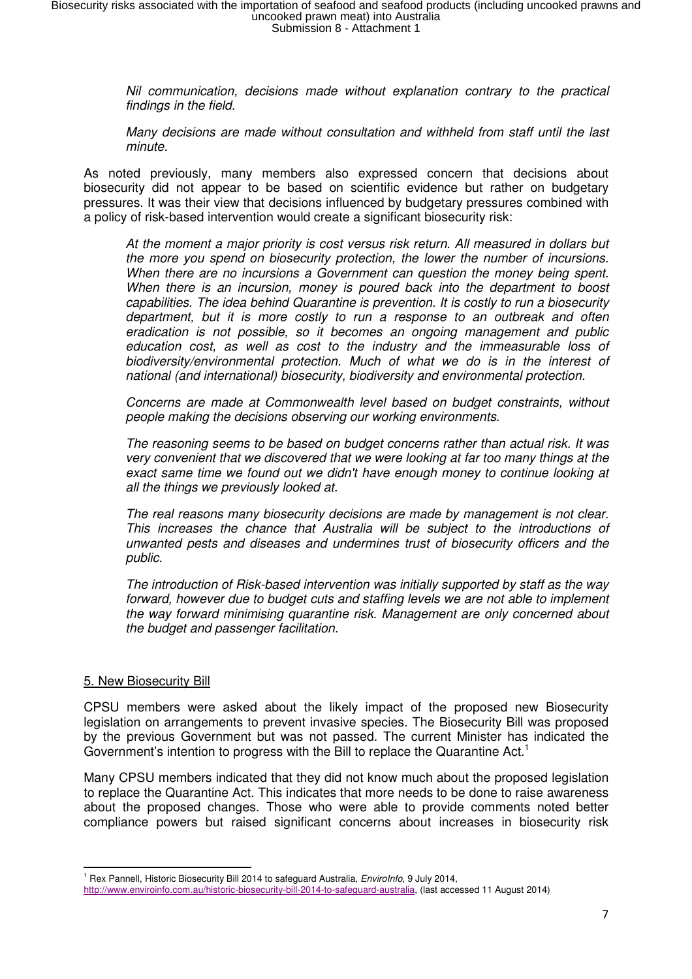Nil communication, decisions made without explanation contrary to the practical findings in the field.

Many decisions are made without consultation and withheld from staff until the last minute.

As noted previously, many members also expressed concern that decisions about biosecurity did not appear to be based on scientific evidence but rather on budgetary pressures. It was their view that decisions influenced by budgetary pressures combined with a policy of risk-based intervention would create a significant biosecurity risk:

At the moment a major priority is cost versus risk return. All measured in dollars but the more you spend on biosecurity protection, the lower the number of incursions. When there are no incursions a Government can question the money being spent. When there is an incursion, money is poured back into the department to boost capabilities. The idea behind Quarantine is prevention. It is costly to run a biosecurity department, but it is more costly to run a response to an outbreak and often eradication is not possible, so it becomes an ongoing management and public education cost, as well as cost to the industry and the immeasurable loss of biodiversity/environmental protection. Much of what we do is in the interest of national (and international) biosecurity, biodiversity and environmental protection.

Concerns are made at Commonwealth level based on budget constraints, without people making the decisions observing our working environments.

The reasoning seems to be based on budget concerns rather than actual risk. It was very convenient that we discovered that we were looking at far too many things at the exact same time we found out we didn't have enough money to continue looking at all the things we previously looked at.

The real reasons many biosecurity decisions are made by management is not clear. This increases the chance that Australia will be subject to the introductions of unwanted pests and diseases and undermines trust of biosecurity officers and the public.

The introduction of Risk-based intervention was initially supported by staff as the way forward, however due to budget cuts and staffing levels we are not able to implement the way forward minimising quarantine risk. Management are only concerned about the budget and passenger facilitation.

#### 5. New Biosecurity Bill

l

CPSU members were asked about the likely impact of the proposed new Biosecurity legislation on arrangements to prevent invasive species. The Biosecurity Bill was proposed by the previous Government but was not passed. The current Minister has indicated the Government's intention to progress with the Bill to replace the Quarantine Act.<sup>1</sup>

Many CPSU members indicated that they did not know much about the proposed legislation to replace the Quarantine Act. This indicates that more needs to be done to raise awareness about the proposed changes. Those who were able to provide comments noted better compliance powers but raised significant concerns about increases in biosecurity risk

<sup>&</sup>lt;sup>1</sup> Rex Pannell, Historic Biosecurity Bill 2014 to safeguard Australia, Envirolnfo, 9 July 2014,

http://www.enviroinfo.com.au/historic-biosecurity-bill-2014-to-safeguard-australia, (last accessed 11 August 2014)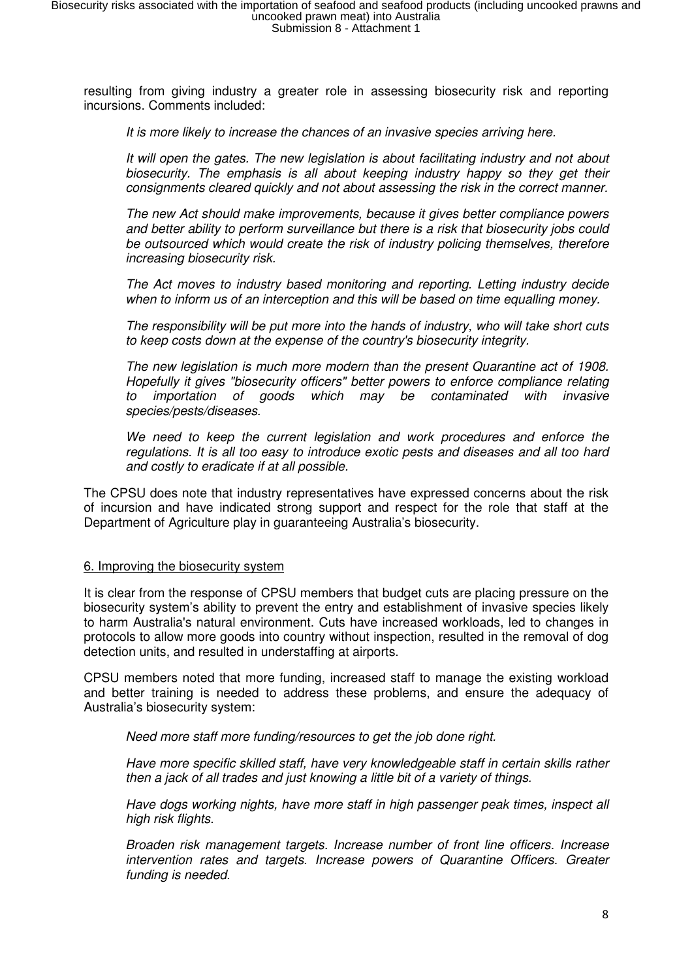resulting from giving industry a greater role in assessing biosecurity risk and reporting incursions. Comments included:

It is more likely to increase the chances of an invasive species arriving here.

It will open the gates. The new legislation is about facilitating industry and not about biosecurity. The emphasis is all about keeping industry happy so they get their consignments cleared quickly and not about assessing the risk in the correct manner.

The new Act should make improvements, because it gives better compliance powers and better ability to perform surveillance but there is a risk that biosecurity jobs could be outsourced which would create the risk of industry policing themselves, therefore increasing biosecurity risk.

The Act moves to industry based monitoring and reporting. Letting industry decide when to inform us of an interception and this will be based on time equalling money.

The responsibility will be put more into the hands of industry, who will take short cuts to keep costs down at the expense of the country's biosecurity integrity.

The new legislation is much more modern than the present Quarantine act of 1908. Hopefully it gives "biosecurity officers" better powers to enforce compliance relating to importation of goods which may be contaminated with invasive species/pests/diseases.

We need to keep the current legislation and work procedures and enforce the regulations. It is all too easy to introduce exotic pests and diseases and all too hard and costly to eradicate if at all possible.

The CPSU does note that industry representatives have expressed concerns about the risk of incursion and have indicated strong support and respect for the role that staff at the Department of Agriculture play in guaranteeing Australia's biosecurity.

### 6. Improving the biosecurity system

It is clear from the response of CPSU members that budget cuts are placing pressure on the biosecurity system's ability to prevent the entry and establishment of invasive species likely to harm Australia's natural environment. Cuts have increased workloads, led to changes in protocols to allow more goods into country without inspection, resulted in the removal of dog detection units, and resulted in understaffing at airports.

CPSU members noted that more funding, increased staff to manage the existing workload and better training is needed to address these problems, and ensure the adequacy of Australia's biosecurity system:

Need more staff more funding/resources to get the job done right.

Have more specific skilled staff, have very knowledgeable staff in certain skills rather then a jack of all trades and just knowing a little bit of a variety of things.

Have dogs working nights, have more staff in high passenger peak times, inspect all high risk flights.

Broaden risk management targets. Increase number of front line officers. Increase intervention rates and targets. Increase powers of Quarantine Officers. Greater funding is needed.